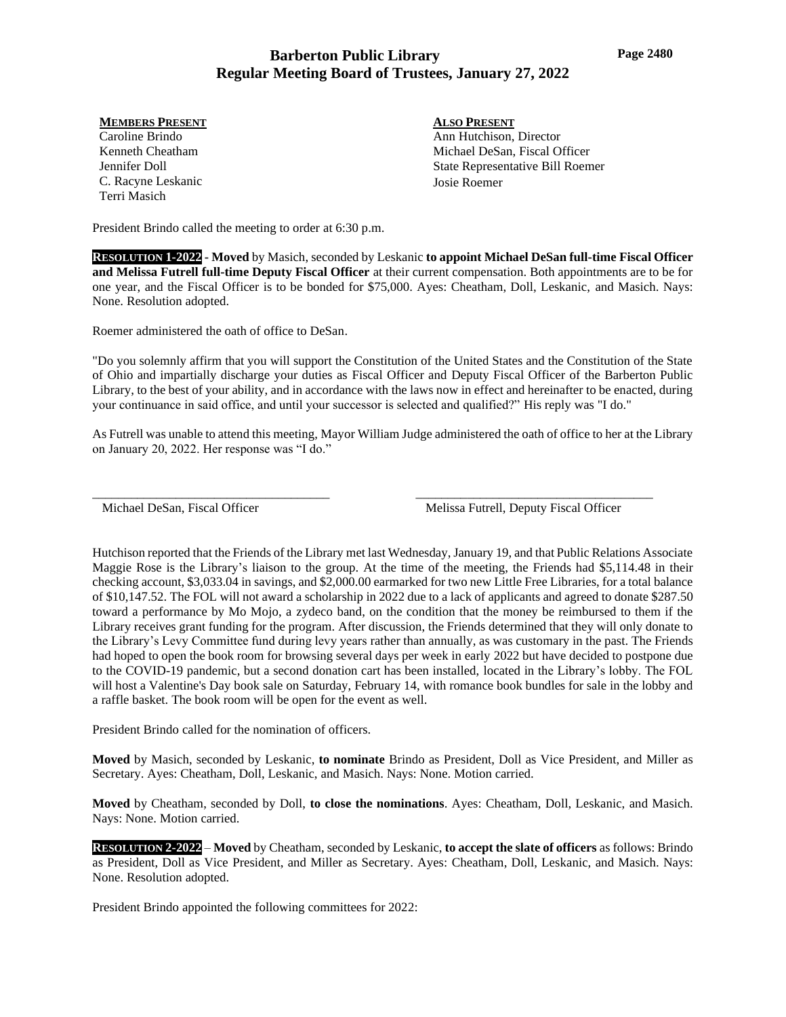# **Barberton Public Library Regular Meeting Board of Trustees, January 27, 2022**

### **MEMBERS PRESENT**

Caroline Brindo Kenneth Cheatham Jennifer Doll C. Racyne Leskanic Terri Masich

**ALSO PRESENT** Ann Hutchison, Director Michael DeSan, Fiscal Officer State Representative Bill Roemer Josie Roemer

President Brindo called the meeting to order at 6:30 p.m.

**RESOLUTION 1-2022 - Moved** by Masich, seconded by Leskanic **to appoint Michael DeSan full-time Fiscal Officer and Melissa Futrell full-time Deputy Fiscal Officer** at their current compensation. Both appointments are to be for one year, and the Fiscal Officer is to be bonded for \$75,000. Ayes: Cheatham, Doll, Leskanic, and Masich. Nays: None. Resolution adopted.

Roemer administered the oath of office to DeSan.

"Do you solemnly affirm that you will support the Constitution of the United States and the Constitution of the State of Ohio and impartially discharge your duties as Fiscal Officer and Deputy Fiscal Officer of the Barberton Public Library, to the best of your ability, and in accordance with the laws now in effect and hereinafter to be enacted, during your continuance in said office, and until your successor is selected and qualified?" His reply was "I do."

As Futrell was unable to attend this meeting, Mayor William Judge administered the oath of office to her at the Library on January 20, 2022. Her response was "I do."

Michael DeSan, Fiscal Officer

\_\_\_\_\_\_\_\_\_\_\_\_\_\_\_\_\_\_\_\_\_\_\_\_\_\_\_\_\_\_\_\_\_\_\_\_\_

Melissa Futrell, Deputy Fiscal Officer

\_\_\_\_\_\_\_\_\_\_\_\_\_\_\_\_\_\_\_\_\_\_\_\_\_\_\_\_\_\_\_\_\_\_\_\_\_

Hutchison reported that the Friends of the Library met last Wednesday, January 19, and that Public Relations Associate Maggie Rose is the Library's liaison to the group. At the time of the meeting, the Friends had \$5,114.48 in their checking account, \$3,033.04 in savings, and \$2,000.00 earmarked for two new Little Free Libraries, for a total balance of \$10,147.52. The FOL will not award a scholarship in 2022 due to a lack of applicants and agreed to donate \$287.50 toward a performance by Mo Mojo, a zydeco band, on the condition that the money be reimbursed to them if the Library receives grant funding for the program. After discussion, the Friends determined that they will only donate to the Library's Levy Committee fund during levy years rather than annually, as was customary in the past. The Friends had hoped to open the book room for browsing several days per week in early 2022 but have decided to postpone due to the COVID-19 pandemic, but a second donation cart has been installed, located in the Library's lobby. The FOL will host a Valentine's Day book sale on Saturday, February 14, with romance book bundles for sale in the lobby and a raffle basket. The book room will be open for the event as well.

President Brindo called for the nomination of officers.

**Moved** by Masich, seconded by Leskanic, **to nominate** Brindo as President, Doll as Vice President, and Miller as Secretary. Ayes: Cheatham, Doll, Leskanic, and Masich. Nays: None. Motion carried.

**Moved** by Cheatham, seconded by Doll, **to close the nominations**. Ayes: Cheatham, Doll, Leskanic, and Masich. Nays: None. Motion carried.

**RESOLUTION 2-2022** – **Moved** by Cheatham, seconded by Leskanic, **to accept the slate of officers** as follows: Brindo as President, Doll as Vice President, and Miller as Secretary. Ayes: Cheatham, Doll, Leskanic, and Masich. Nays: None. Resolution adopted.

President Brindo appointed the following committees for 2022: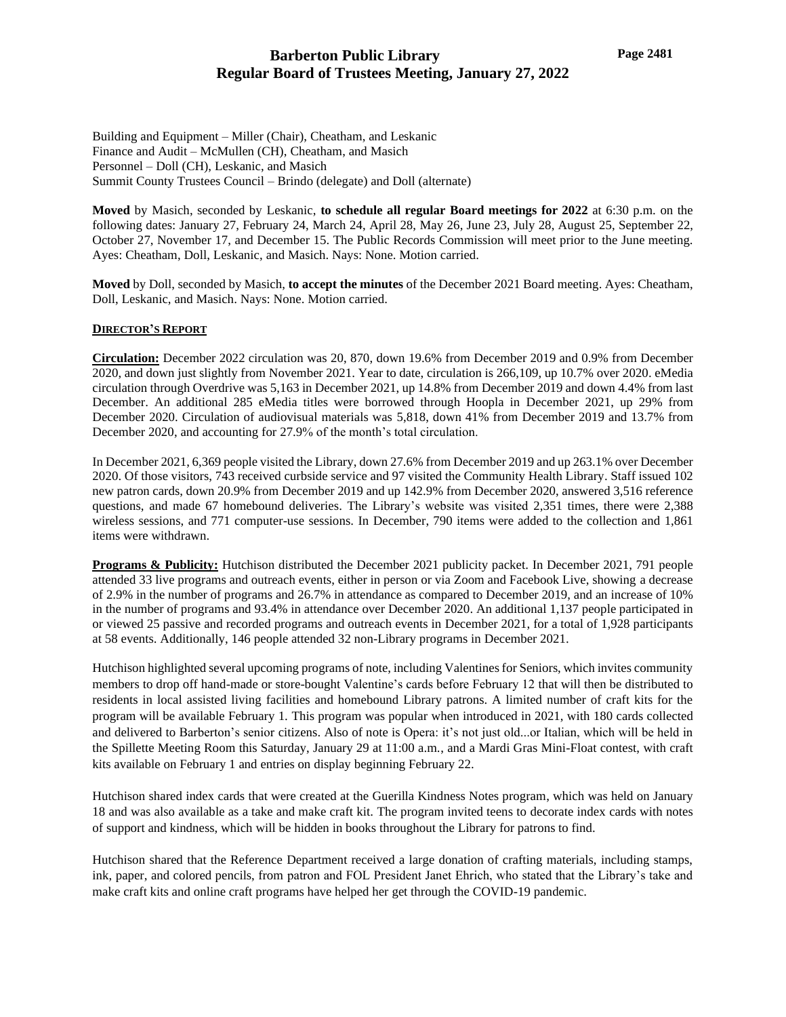Building and Equipment – Miller (Chair), Cheatham, and Leskanic Finance and Audit – McMullen (CH), Cheatham, and Masich Personnel – Doll (CH), Leskanic, and Masich Summit County Trustees Council – Brindo (delegate) and Doll (alternate)

**Moved** by Masich, seconded by Leskanic, **to schedule all regular Board meetings for 2022** at 6:30 p.m. on the following dates: January 27, February 24, March 24, April 28, May 26, June 23, July 28, August 25, September 22, October 27, November 17, and December 15. The Public Records Commission will meet prior to the June meeting. Ayes: Cheatham, Doll, Leskanic, and Masich. Nays: None. Motion carried.

**Moved** by Doll, seconded by Masich, **to accept the minutes** of the December 2021 Board meeting. Ayes: Cheatham, Doll, Leskanic, and Masich. Nays: None. Motion carried.

### **DIRECTOR'S REPORT**

**Circulation:** December 2022 circulation was 20, 870, down 19.6% from December 2019 and 0.9% from December 2020, and down just slightly from November 2021. Year to date, circulation is 266,109, up 10.7% over 2020. eMedia circulation through Overdrive was 5,163 in December 2021, up 14.8% from December 2019 and down 4.4% from last December. An additional 285 eMedia titles were borrowed through Hoopla in December 2021, up 29% from December 2020. Circulation of audiovisual materials was 5,818, down 41% from December 2019 and 13.7% from December 2020, and accounting for 27.9% of the month's total circulation.

In December 2021, 6,369 people visited the Library, down 27.6% from December 2019 and up 263.1% over December 2020. Of those visitors, 743 received curbside service and 97 visited the Community Health Library. Staff issued 102 new patron cards, down 20.9% from December 2019 and up 142.9% from December 2020, answered 3,516 reference questions, and made 67 homebound deliveries. The Library's website was visited 2,351 times, there were 2,388 wireless sessions, and 771 computer-use sessions. In December, 790 items were added to the collection and 1,861 items were withdrawn.

**Programs & Publicity:** Hutchison distributed the December 2021 publicity packet. In December 2021, 791 people attended 33 live programs and outreach events, either in person or via Zoom and Facebook Live, showing a decrease of 2.9% in the number of programs and 26.7% in attendance as compared to December 2019, and an increase of 10% in the number of programs and 93.4% in attendance over December 2020. An additional 1,137 people participated in or viewed 25 passive and recorded programs and outreach events in December 2021, for a total of 1,928 participants at 58 events. Additionally, 146 people attended 32 non-Library programs in December 2021.

Hutchison highlighted several upcoming programs of note, including Valentines for Seniors, which invites community members to drop off hand-made or store-bought Valentine's cards before February 12 that will then be distributed to residents in local assisted living facilities and homebound Library patrons. A limited number of craft kits for the program will be available February 1. This program was popular when introduced in 2021, with 180 cards collected and delivered to Barberton's senior citizens. Also of note is Opera: it's not just old...or Italian, which will be held in the Spillette Meeting Room this Saturday, January 29 at 11:00 a.m., and a Mardi Gras Mini-Float contest, with craft kits available on February 1 and entries on display beginning February 22.

Hutchison shared index cards that were created at the Guerilla Kindness Notes program, which was held on January 18 and was also available as a take and make craft kit. The program invited teens to decorate index cards with notes of support and kindness, which will be hidden in books throughout the Library for patrons to find.

Hutchison shared that the Reference Department received a large donation of crafting materials, including stamps, ink, paper, and colored pencils, from patron and FOL President Janet Ehrich, who stated that the Library's take and make craft kits and online craft programs have helped her get through the COVID-19 pandemic.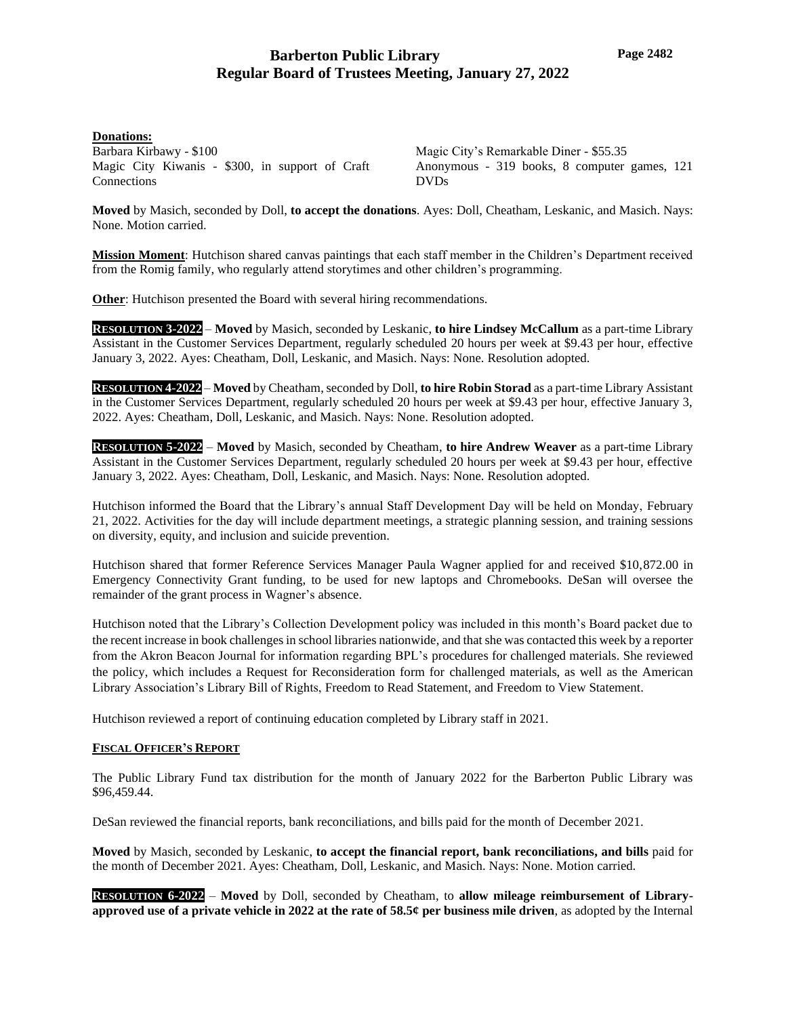### **Donations:**

Barbara Kirbawy - \$100 Magic City Kiwanis - \$300, in support of Craft **Connections** 

Magic City's Remarkable Diner - \$55.35 Anonymous - 319 books, 8 computer games, 121 DVDs

**Moved** by Masich, seconded by Doll, **to accept the donations**. Ayes: Doll, Cheatham, Leskanic, and Masich. Nays: None. Motion carried.

**Mission Moment**: Hutchison shared canvas paintings that each staff member in the Children's Department received from the Romig family, who regularly attend storytimes and other children's programming.

**Other**: Hutchison presented the Board with several hiring recommendations.

**RESOLUTION 3-2022** – **Moved** by Masich, seconded by Leskanic, **to hire Lindsey McCallum** as a part-time Library Assistant in the Customer Services Department, regularly scheduled 20 hours per week at \$9.43 per hour, effective January 3, 2022. Ayes: Cheatham, Doll, Leskanic, and Masich. Nays: None. Resolution adopted.

**RESOLUTION 4-2022** – **Moved** by Cheatham, seconded by Doll, **to hire Robin Storad** as a part-time Library Assistant in the Customer Services Department, regularly scheduled 20 hours per week at \$9.43 per hour, effective January 3, 2022. Ayes: Cheatham, Doll, Leskanic, and Masich. Nays: None. Resolution adopted.

**RESOLUTION 5-2022** – **Moved** by Masich, seconded by Cheatham, **to hire Andrew Weaver** as a part-time Library Assistant in the Customer Services Department, regularly scheduled 20 hours per week at \$9.43 per hour, effective January 3, 2022. Ayes: Cheatham, Doll, Leskanic, and Masich. Nays: None. Resolution adopted.

Hutchison informed the Board that the Library's annual Staff Development Day will be held on Monday, February 21, 2022. Activities for the day will include department meetings, a strategic planning session, and training sessions on diversity, equity, and inclusion and suicide prevention.

Hutchison shared that former Reference Services Manager Paula Wagner applied for and received \$10,872.00 in Emergency Connectivity Grant funding, to be used for new laptops and Chromebooks. DeSan will oversee the remainder of the grant process in Wagner's absence.

Hutchison noted that the Library's Collection Development policy was included in this month's Board packet due to the recent increase in book challenges in school libraries nationwide, and that she was contacted this week by a reporter from the Akron Beacon Journal for information regarding BPL's procedures for challenged materials. She reviewed the policy, which includes a Request for Reconsideration form for challenged materials, as well as the American Library Association's Library Bill of Rights, Freedom to Read Statement, and Freedom to View Statement.

Hutchison reviewed a report of continuing education completed by Library staff in 2021.

### **FISCAL OFFICER'S REPORT**

The Public Library Fund tax distribution for the month of January 2022 for the Barberton Public Library was \$96,459.44.

DeSan reviewed the financial reports, bank reconciliations, and bills paid for the month of December 2021.

**Moved** by Masich, seconded by Leskanic, **to accept the financial report, bank reconciliations, and bills** paid for the month of December 2021. Ayes: Cheatham, Doll, Leskanic, and Masich. Nays: None. Motion carried.

**RESOLUTION 6-2022** – **Moved** by Doll, seconded by Cheatham, to **allow mileage reimbursement of Libraryapproved use of a private vehicle in 2022 at the rate of 58.5¢ per business mile driven**, as adopted by the Internal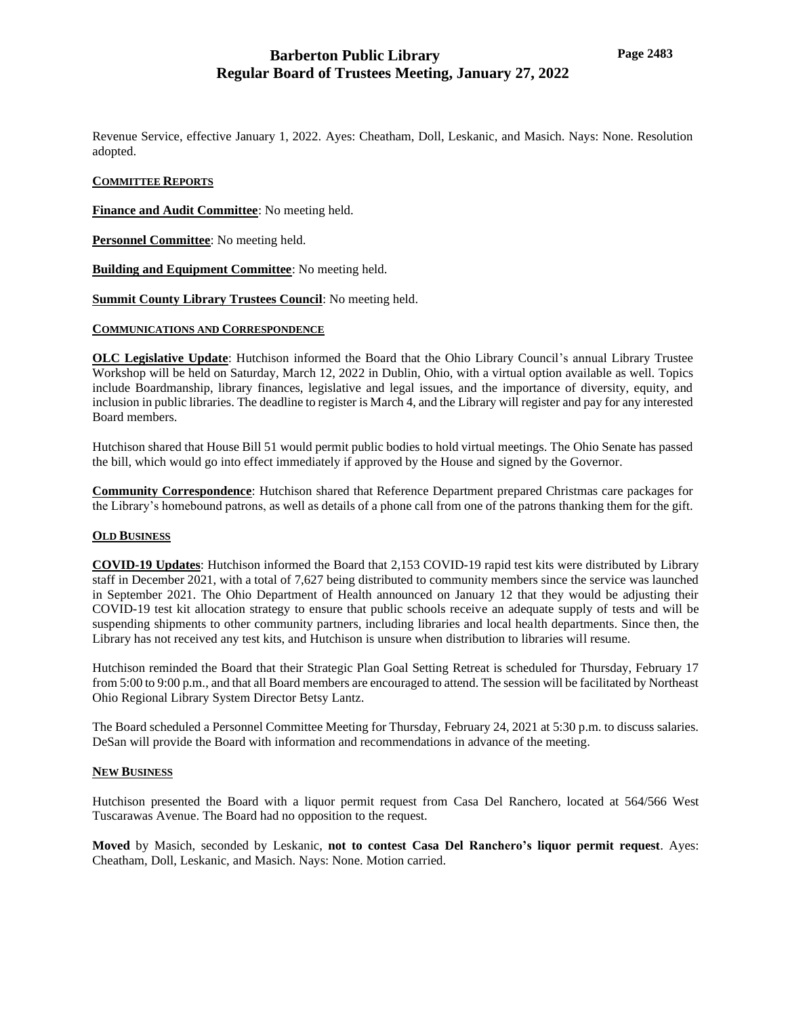Revenue Service, effective January 1, 2022. Ayes: Cheatham, Doll, Leskanic, and Masich. Nays: None. Resolution adopted.

### **COMMITTEE REPORTS**

**Finance and Audit Committee**: No meeting held.

**Personnel Committee**: No meeting held.

**Building and Equipment Committee**: No meeting held.

**Summit County Library Trustees Council**: No meeting held.

#### **COMMUNICATIONS AND CORRESPONDENCE**

**OLC Legislative Update**: Hutchison informed the Board that the Ohio Library Council's annual Library Trustee Workshop will be held on Saturday, March 12, 2022 in Dublin, Ohio, with a virtual option available as well. Topics include Boardmanship, library finances, legislative and legal issues, and the importance of diversity, equity, and inclusion in public libraries. The deadline to register is March 4, and the Library will register and pay for any interested Board members.

Hutchison shared that House Bill 51 would permit public bodies to hold virtual meetings. The Ohio Senate has passed the bill, which would go into effect immediately if approved by the House and signed by the Governor.

**Community Correspondence**: Hutchison shared that Reference Department prepared Christmas care packages for the Library's homebound patrons, as well as details of a phone call from one of the patrons thanking them for the gift.

#### **OLD BUSINESS**

**COVID-19 Updates**: Hutchison informed the Board that 2,153 COVID-19 rapid test kits were distributed by Library staff in December 2021, with a total of 7,627 being distributed to community members since the service was launched in September 2021. The Ohio Department of Health announced on January 12 that they would be adjusting their COVID-19 test kit allocation strategy to ensure that public schools receive an adequate supply of tests and will be suspending shipments to other community partners, including libraries and local health departments. Since then, the Library has not received any test kits, and Hutchison is unsure when distribution to libraries will resume.

Hutchison reminded the Board that their Strategic Plan Goal Setting Retreat is scheduled for Thursday, February 17 from 5:00 to 9:00 p.m., and that all Board members are encouraged to attend. The session will be facilitated by Northeast Ohio Regional Library System Director Betsy Lantz.

The Board scheduled a Personnel Committee Meeting for Thursday, February 24, 2021 at 5:30 p.m. to discuss salaries. DeSan will provide the Board with information and recommendations in advance of the meeting.

#### **NEW BUSINESS**

Hutchison presented the Board with a liquor permit request from Casa Del Ranchero, located at 564/566 West Tuscarawas Avenue. The Board had no opposition to the request.

**Moved** by Masich, seconded by Leskanic, **not to contest Casa Del Ranchero's liquor permit request**. Ayes: Cheatham, Doll, Leskanic, and Masich. Nays: None. Motion carried.